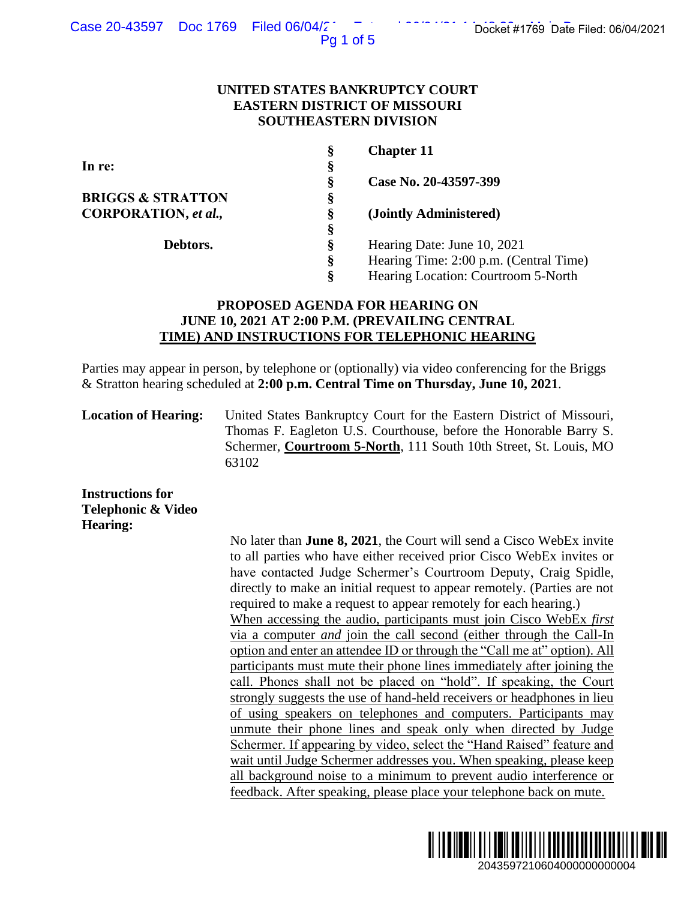Pg 1 of 5

### **UNITED STATES BANKRUPTCY COURT EASTERN DISTRICT OF MISSOURI SOUTHEASTERN DIVISION**

| Ş | <b>Chapter 11</b>                      |
|---|----------------------------------------|
| § |                                        |
| Ş | Case No. 20-43597-399                  |
| Ş |                                        |
| Ş | (Jointly Administered)                 |
| Ş |                                        |
| Ş | Hearing Date: June 10, 2021            |
| ş | Hearing Time: 2:00 p.m. (Central Time) |
| Ş | Hearing Location: Courtroom 5-North    |
|   |                                        |

# **PROPOSED AGENDA FOR HEARING ON JUNE 10, 2021 AT 2:00 P.M. (PREVAILING CENTRAL TIME) AND INSTRUCTIONS FOR TELEPHONIC HEARING**

Parties may appear in person, by telephone or (optionally) via video conferencing for the Briggs & Stratton hearing scheduled at **2:00 p.m. Central Time on Thursday, June 10, 2021**.

**Location of Hearing:** United States Bankruptcy Court for the Eastern District of Missouri, Thomas F. Eagleton U.S. Courthouse, before the Honorable Barry S. Schermer, **Courtroom 5-North**, 111 South 10th Street, St. Louis, MO 63102

**Instructions for Telephonic & Video Hearing:**

No later than **June 8, 2021**, the Court will send a Cisco WebEx invite to all parties who have either received prior Cisco WebEx invites or have contacted Judge Schermer's Courtroom Deputy, Craig Spidle, directly to make an initial request to appear remotely. (Parties are not required to make a request to appear remotely for each hearing.) When accessing the audio, participants must join Cisco WebEx *first*  via a computer *and* join the call second (either through the Call-In option and enter an attendee ID or through the "Call me at" option). All participants must mute their phone lines immediately after joining the call. Phones shall not be placed on "hold". If speaking, the Court strongly suggests the use of hand-held receivers or headphones in lieu of using speakers on telephones and computers. Participants may unmute their phone lines and speak only when directed by Judge Schermer. If appearing by video, select the "Hand Raised" feature and wait until Judge Schermer addresses you. When speaking, please keep all background noise to a minimum to prevent audio interference or feedback. After speaking, please place your telephone back on mute. 2043597210604000000000004 Docket #1769 Date Filed: 06/04/2021

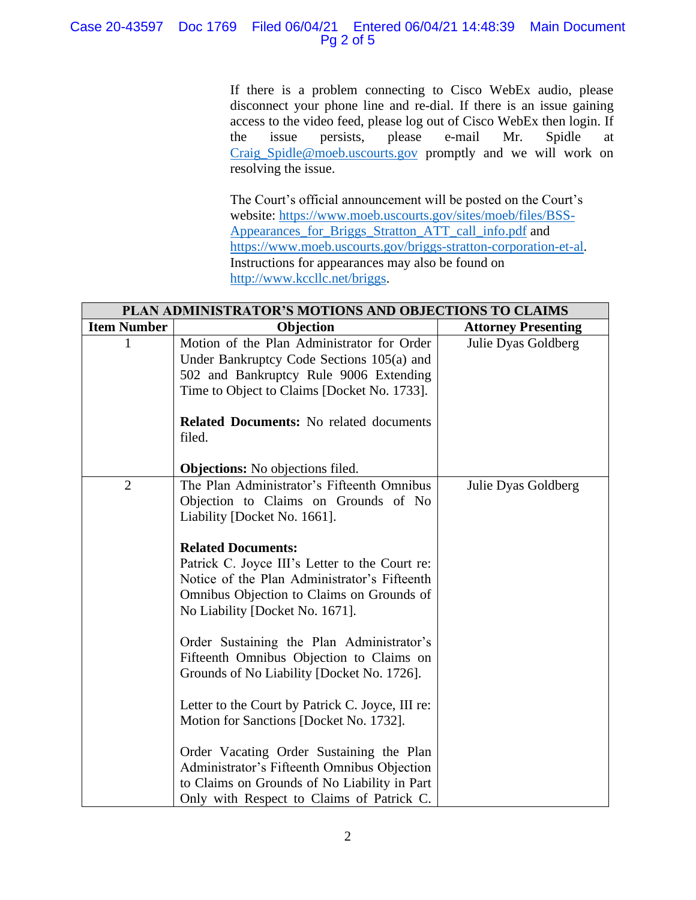# Case 20-43597 Doc 1769 Filed 06/04/21 Entered 06/04/21 14:48:39 Main Document Pg 2 of 5

If there is a problem connecting to Cisco WebEx audio, please disconnect your phone line and re-dial. If there is an issue gaining access to the video feed, please log out of Cisco WebEx then login. If the issue persists, please e-mail Mr. Spidle at [Craig\\_Spidle@moeb.uscourts.gov](mailto:Shontelle_McCoy@moeb.uscourts.gov) promptly and we will work on resolving the issue.

The Court's official announcement will be posted on the Court's website: [https://www.moeb.uscourts.gov/sites/moeb/files/BSS-](https://www.moeb.uscourts.gov/sites/moeb/files/BSS-Appearances_for_Briggs_Stratton_ATT_call_info.pdf)[Appearances\\_for\\_Briggs\\_Stratton\\_ATT\\_call\\_info.pdf](https://www.moeb.uscourts.gov/sites/moeb/files/BSS-Appearances_for_Briggs_Stratton_ATT_call_info.pdf) and [https://www.moeb.uscourts.gov/briggs-stratton-corporation-et-al.](https://www.moeb.uscourts.gov/briggs-stratton-corporation-et-al) Instructions for appearances may also be found on [http://www.kccllc.net/briggs.](http://www.kccllc.net/briggs)

| PLAN ADMINISTRATOR'S MOTIONS AND OBJECTIONS TO CLAIMS |                                                                                                                                                                                                                                                                                                                                                                                                                                                                          |                            |
|-------------------------------------------------------|--------------------------------------------------------------------------------------------------------------------------------------------------------------------------------------------------------------------------------------------------------------------------------------------------------------------------------------------------------------------------------------------------------------------------------------------------------------------------|----------------------------|
| <b>Item Number</b>                                    | Objection                                                                                                                                                                                                                                                                                                                                                                                                                                                                | <b>Attorney Presenting</b> |
|                                                       | Motion of the Plan Administrator for Order<br>Under Bankruptcy Code Sections 105(a) and<br>502 and Bankruptcy Rule 9006 Extending<br>Time to Object to Claims [Docket No. 1733].<br><b>Related Documents:</b> No related documents                                                                                                                                                                                                                                       | Julie Dyas Goldberg        |
|                                                       | filed.<br><b>Objections:</b> No objections filed.                                                                                                                                                                                                                                                                                                                                                                                                                        |                            |
| $\overline{2}$                                        | The Plan Administrator's Fifteenth Omnibus<br>Objection to Claims on Grounds of No<br>Liability [Docket No. 1661].<br><b>Related Documents:</b><br>Patrick C. Joyce III's Letter to the Court re:<br>Notice of the Plan Administrator's Fifteenth<br>Omnibus Objection to Claims on Grounds of<br>No Liability [Docket No. 1671].<br>Order Sustaining the Plan Administrator's<br>Fifteenth Omnibus Objection to Claims on<br>Grounds of No Liability [Docket No. 1726]. | Julie Dyas Goldberg        |
|                                                       | Letter to the Court by Patrick C. Joyce, III re:<br>Motion for Sanctions [Docket No. 1732].<br>Order Vacating Order Sustaining the Plan<br>Administrator's Fifteenth Omnibus Objection<br>to Claims on Grounds of No Liability in Part<br>Only with Respect to Claims of Patrick C.                                                                                                                                                                                      |                            |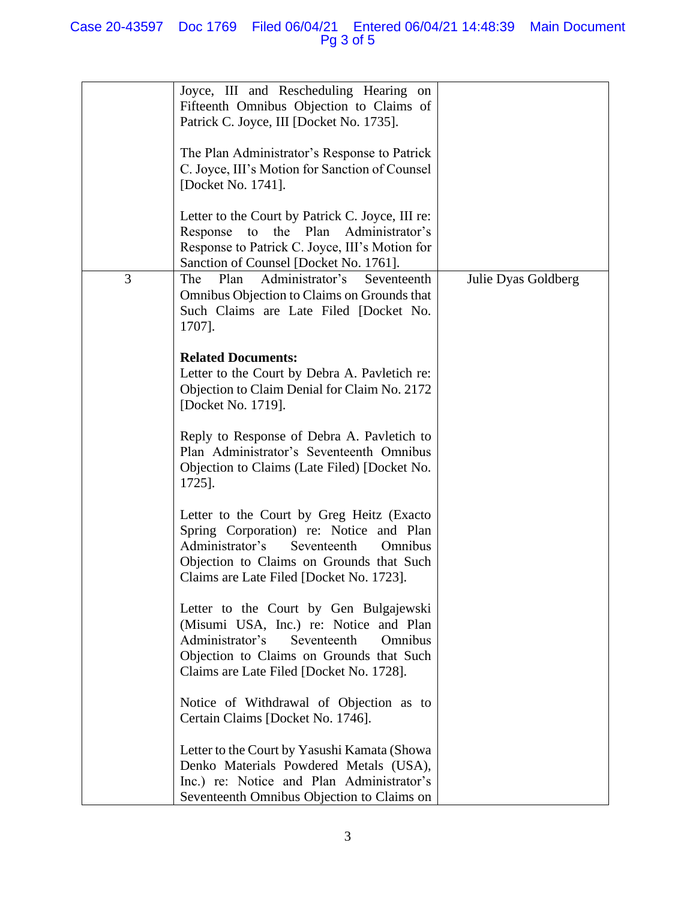|   | Joyce, III and Rescheduling Hearing on<br>Fifteenth Omnibus Objection to Claims of<br>Patrick C. Joyce, III [Docket No. 1735].<br>The Plan Administrator's Response to Patrick<br>C. Joyce, III's Motion for Sanction of Counsel<br>[Docket No. 1741]. |                     |
|---|--------------------------------------------------------------------------------------------------------------------------------------------------------------------------------------------------------------------------------------------------------|---------------------|
|   | Letter to the Court by Patrick C. Joyce, III re:<br>Response to<br>the Plan Administrator's<br>Response to Patrick C. Joyce, III's Motion for<br>Sanction of Counsel [Docket No. 1761].                                                                |                     |
| 3 | Plan<br>Administrator's<br>The<br>Seventeenth<br>Omnibus Objection to Claims on Grounds that<br>Such Claims are Late Filed [Docket No.<br>1707].                                                                                                       | Julie Dyas Goldberg |
|   | <b>Related Documents:</b><br>Letter to the Court by Debra A. Pavletich re:<br>Objection to Claim Denial for Claim No. 2172<br>[Docket No. 1719].                                                                                                       |                     |
|   | Reply to Response of Debra A. Pavletich to<br>Plan Administrator's Seventeenth Omnibus<br>Objection to Claims (Late Filed) [Docket No.<br>1725].                                                                                                       |                     |
|   | Letter to the Court by Greg Heitz (Exacto<br>Spring Corporation) re: Notice and Plan<br>Administrator's<br>Seventeenth<br>Omnibus<br>Objection to Claims on Grounds that Such<br>Claims are Late Filed [Docket No. 1723].                              |                     |
|   | Letter to the Court by Gen Bulgajewski<br>(Misumi USA, Inc.) re: Notice and Plan<br>Administrator's<br>Seventeenth<br>Omnibus<br>Objection to Claims on Grounds that Such<br>Claims are Late Filed [Docket No. 1728].                                  |                     |
|   | Notice of Withdrawal of Objection as to<br>Certain Claims [Docket No. 1746].                                                                                                                                                                           |                     |
|   | Letter to the Court by Yasushi Kamata (Showa<br>Denko Materials Powdered Metals (USA),<br>Inc.) re: Notice and Plan Administrator's<br>Seventeenth Omnibus Objection to Claims on                                                                      |                     |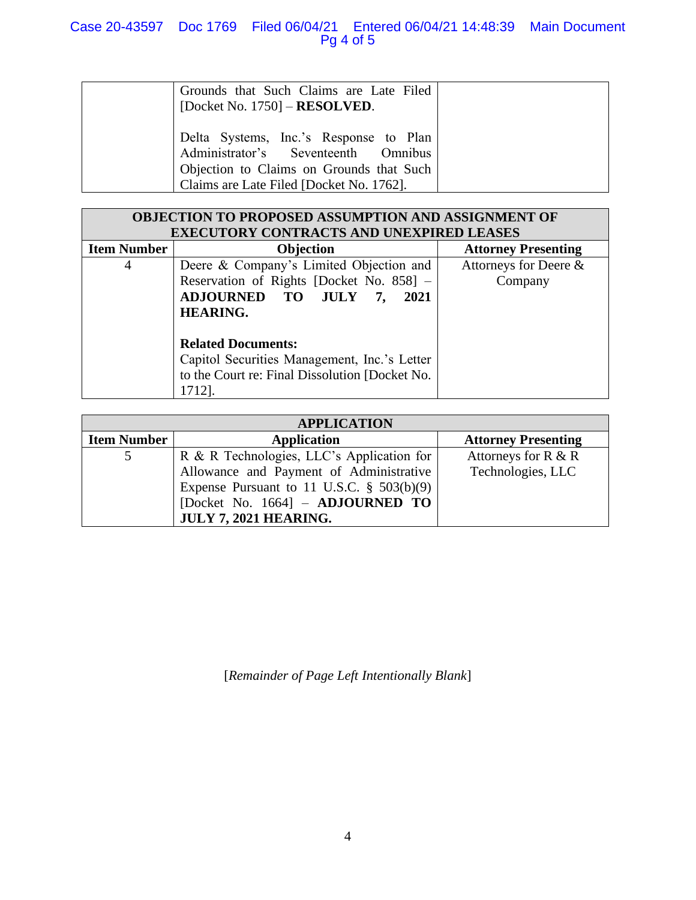| Grounds that Such Claims are Late Filed<br>[Docket No. 1750] $-$ <b>RESOLVED</b> .                                                                                    |
|-----------------------------------------------------------------------------------------------------------------------------------------------------------------------|
| Delta Systems, Inc.'s Response to Plan<br>Administrator's Seventeenth Omnibus<br>Objection to Claims on Grounds that Such<br>Claims are Late Filed [Docket No. 1762]. |

| <b>OBJECTION TO PROPOSED ASSUMPTION AND ASSIGNMENT OF</b> |                                                  |                            |  |
|-----------------------------------------------------------|--------------------------------------------------|----------------------------|--|
| <b>EXECUTORY CONTRACTS AND UNEXPIRED LEASES</b>           |                                                  |                            |  |
| <b>Item Number</b>                                        | Objection                                        | <b>Attorney Presenting</b> |  |
| 4                                                         | Deere & Company's Limited Objection and          | Attorneys for Deere &      |  |
|                                                           | Reservation of Rights [Docket No. 858] -         | Company                    |  |
|                                                           | <b>ADJOURNED TO</b><br><b>JULY</b><br>2021<br>7. |                            |  |
|                                                           | <b>HEARING.</b>                                  |                            |  |
|                                                           |                                                  |                            |  |
|                                                           | <b>Related Documents:</b>                        |                            |  |
|                                                           | Capitol Securities Management, Inc.'s Letter     |                            |  |
|                                                           | to the Court re: Final Dissolution [Docket No.   |                            |  |
|                                                           | 1712].                                           |                            |  |

| <b>APPLICATION</b> |                                              |                            |  |  |
|--------------------|----------------------------------------------|----------------------------|--|--|
| <b>Item Number</b> | <b>Application</b>                           | <b>Attorney Presenting</b> |  |  |
|                    | R & R Technologies, LLC's Application for    | Attorneys for $R & R$      |  |  |
|                    | Allowance and Payment of Administrative      | Technologies, LLC          |  |  |
|                    | Expense Pursuant to 11 U.S.C. $\S$ 503(b)(9) |                            |  |  |
|                    | [Docket No. 1664] - ADJOURNED TO             |                            |  |  |
|                    | <b>JULY 7, 2021 HEARING.</b>                 |                            |  |  |

[*Remainder of Page Left Intentionally Blank*]